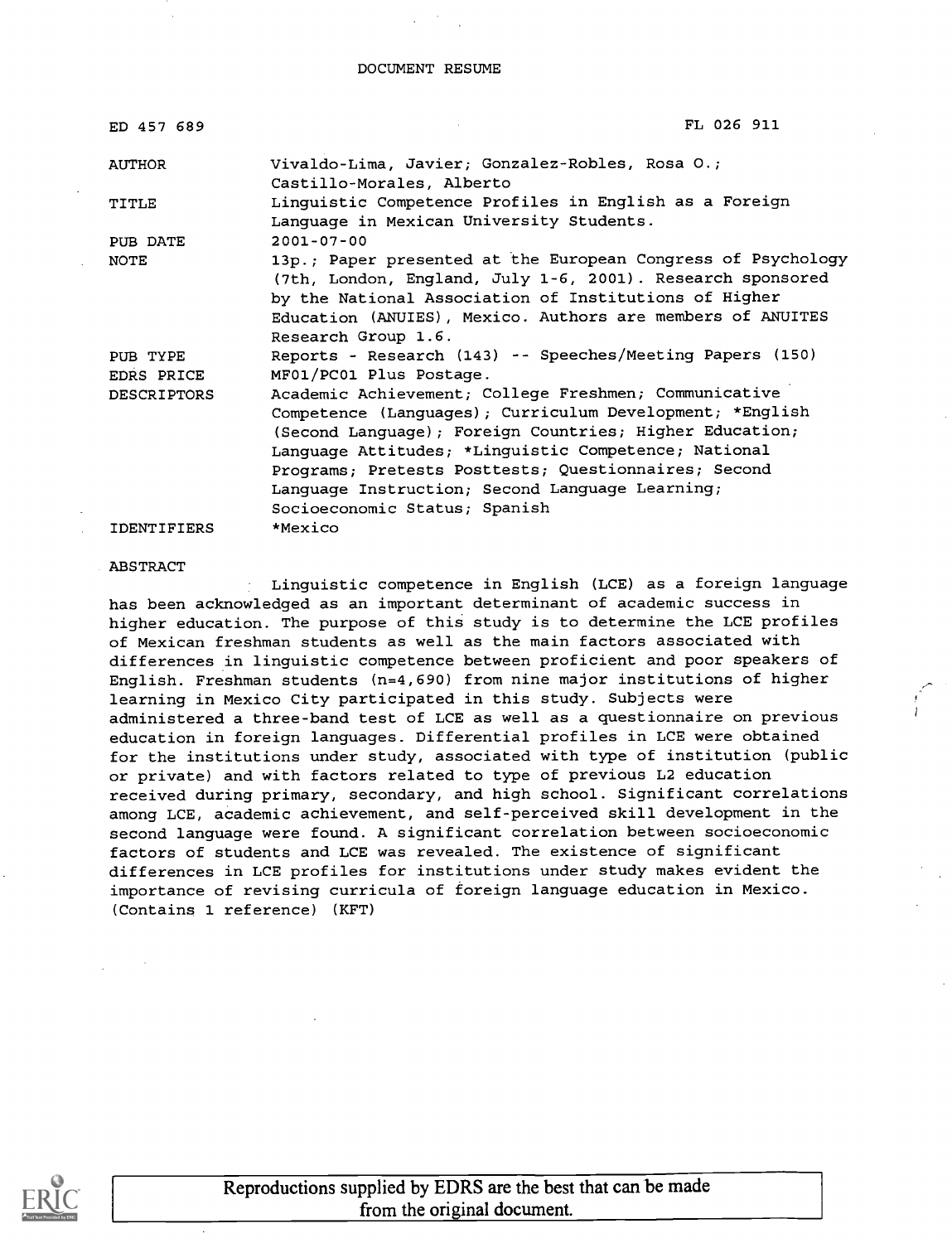#### DOCUMENT RESUME

| ED 457 689         | FL 026 911                                                                                                                                                                                                                                                                                                                                                                       |
|--------------------|----------------------------------------------------------------------------------------------------------------------------------------------------------------------------------------------------------------------------------------------------------------------------------------------------------------------------------------------------------------------------------|
| AUTHOR             | Vivaldo-Lima, Javier; Gonzalez-Robles, Rosa O.;<br>Castillo-Morales, Alberto                                                                                                                                                                                                                                                                                                     |
| TITLE              | Linguistic Competence Profiles in English as a Foreign<br>Language in Mexican University Students.                                                                                                                                                                                                                                                                               |
| PUB DATE           | $2001 - 07 - 00$                                                                                                                                                                                                                                                                                                                                                                 |
| NOTE               | 13p.; Paper presented at the European Congress of Psychology<br>(7th, London, England, July 1-6, 2001). Research sponsored<br>by the National Association of Institutions of Higher<br>Education (ANUIES), Mexico. Authors are members of ANUITES<br>Research Group 1.6.                                                                                                         |
| PUB TYPE           | Reports - Research (143) -- Speeches/Meeting Papers (150)                                                                                                                                                                                                                                                                                                                        |
| EDRS PRICE         | MF01/PC01 Plus Postage.                                                                                                                                                                                                                                                                                                                                                          |
| DESCRIPTORS        | Academic Achievement; College Freshmen; Communicative<br>Competence (Languages); Curriculum Development; *English<br>(Second Language); Foreign Countries; Higher Education;<br>Language Attitudes; *Linguistic Competence; National<br>Programs; Pretests Posttests; Questionnaires; Second<br>Language Instruction; Second Language Learning;<br>Socioeconomic Status; Spanish |
| <b>IDENTIFIERS</b> | *Mexico                                                                                                                                                                                                                                                                                                                                                                          |

#### ABSTRACT

Linguistic competence in English (LCE) as a foreign language has been acknowledged as an important determinant of academic success in higher education. The purpose of this study is to determine the LCE profiles of Mexican freshman students as well as the main factors associated with differences in linguistic competence between proficient and poor speakers of English. Freshman students (n=4,690) from nine major institutions of higher learning in Mexico City participated in this study. Subjects were administered a three-band test of LCE as well as a questionnaire on previous education in foreign languages. Differential profiles in LCE were obtained for the institutions under study, associated with type of institution (public or private) and with factors related to type of previous L2 education received during primary, secondary, and high school. Significant correlations among LCE, academic achievement, and self-perceived skill development in the second language were found. A significant correlation between socioeconomic factors of students and LCE was revealed. The existence of significant differences in LCE profiles for institutions under study makes evident the importance of revising curricula of foreign language education in Mexico. (Contains 1 reference) (KFT)

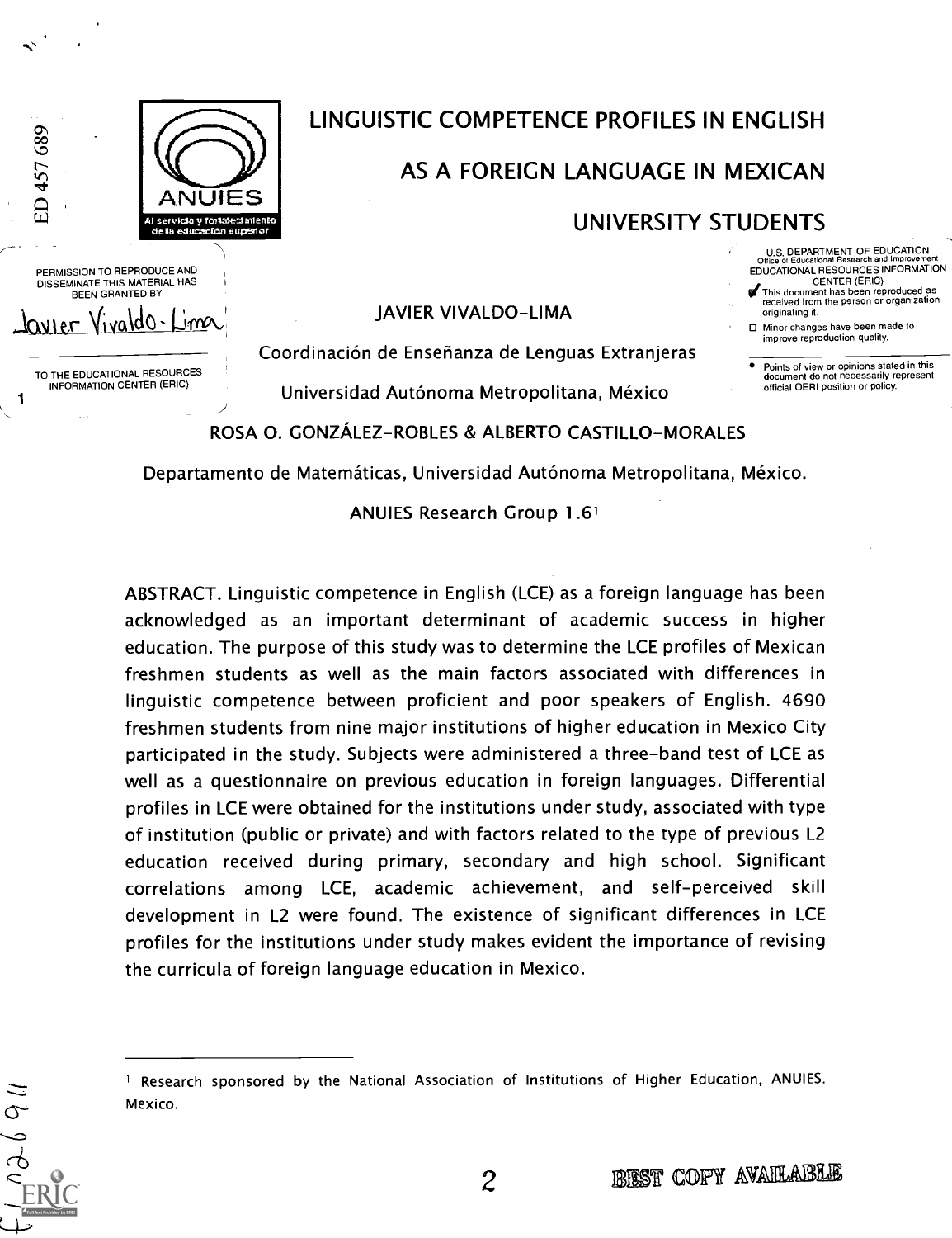

# LINGUISTIC COMPETENCE PROFILES IN ENGLISH

# AS A FOREIGN LANGUAGE IN MEXICAN

## UNIVERSITY STUDENTS

- U.S. DEPARTMENT OF EDUCATION Office of Educational Research and linprovernent EDUCATIONAL RESOURCES INFORMATION CENTER (ERIC)
- This document has been reproduced as received from the person or organization originating it.
- 0 Minor changes have been made to improve reproduction quality.
- Points of view or opinions stated in this document do not necessarily represent official OERI position or policy.

<sup>1</sup> TO THE EDUCATIONAL RESOURCES INFORMATION CENTER (ERIC)

Vivaldo-

PERMISSION TO REPRODUCE AND DISSEMINATE THIS MATERIAL HAS BEEN GRANTED BY

2-

ED 457 689

## JAVIER VIVALDO-LIMA

Coordinación de Ensefianza de Lenguas Extranjeras

Universidad Autónoma Metropolitana, Mexico

## ROSA 0. GONZALEZ-ROBLES & ALBERTO CASTILLO-MORALES

Departamento de Matematicas, Universidad Autónoma Metropolitana, Mexico.

ANUIES Research Group 1.61

ABSTRACT. Linguistic competence in English (LCE) as a foreign language has been acknowledged as an important determinant of academic success in higher education. The purpose of this study was to determine the LCE profiles of Mexican freshmen students as well as the main factors associated with differences in linguistic competence between proficient and poor speakers of English. 4690 freshmen students from nine major institutions of higher education in Mexico City participated in the study. Subjects were administered a three-band test of LCE as well as a questionnaire on previous education in foreign languages. Differential profiles in LCE were obtained for the institutions under study, associated with type of institution (public or private) and with factors related to the type of previous L2 education received during primary, secondary and high school. Significant correlations among LCE, academic achievement, and self-perceived skill development in L2 were found. The existence of significant differences in LCE profiles for the institutions under study makes evident the importance of revising the curricula of foreign language education in Mexico.

<sup>&</sup>lt;sup>1</sup> Research sponsored by the National Association of Institutions of Higher Education, ANUIES. Mexico.

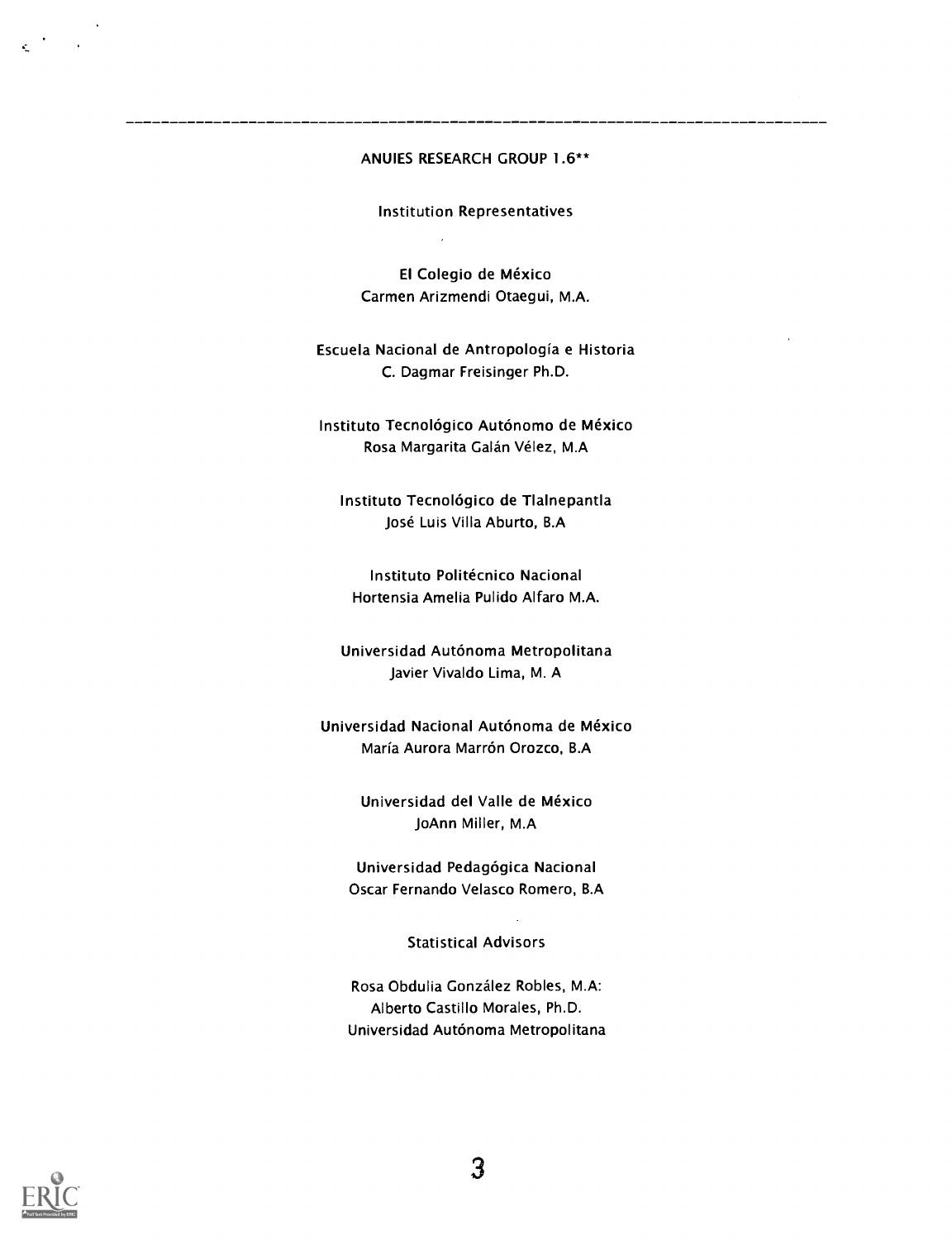#### ANUIES RESEARCH GROUP 1.6\*\*

Institution Representatives

J.

El Colegio de Mexico Carmen Arizmendi Otaegui, M.A.

#### Escuela Nacional de Antropologia e Historia C. Dagmar Freisinger Ph.D.

Instituto Tecnológico Autónomo de México Rosa Margarita Galán Vélez, M.A

Instituto Tecnológico de Tlalnepantla José Luis Villa Aburto, B.A

Instituto Politécnico Nacional Hortensia Amelia Pulido Alfaro M.A.

Universidad Autónoma Metropolitana Javier Vivaldo Lima, M. A

Universidad Nacional Autónoma de Mexico María Aurora Marrón Orozco, B.A

> Universidad del Valle de México JoAnn Miller, M.A

Universidad Pedagógica Nacional Oscar Fernando Velasco Romero, B.A

Statistical Advisors

Rosa Obdulia Gonzalez Robles, M.A: Alberto Castillo Morales, Ph.D. Universidad Autónoma Metropolitana

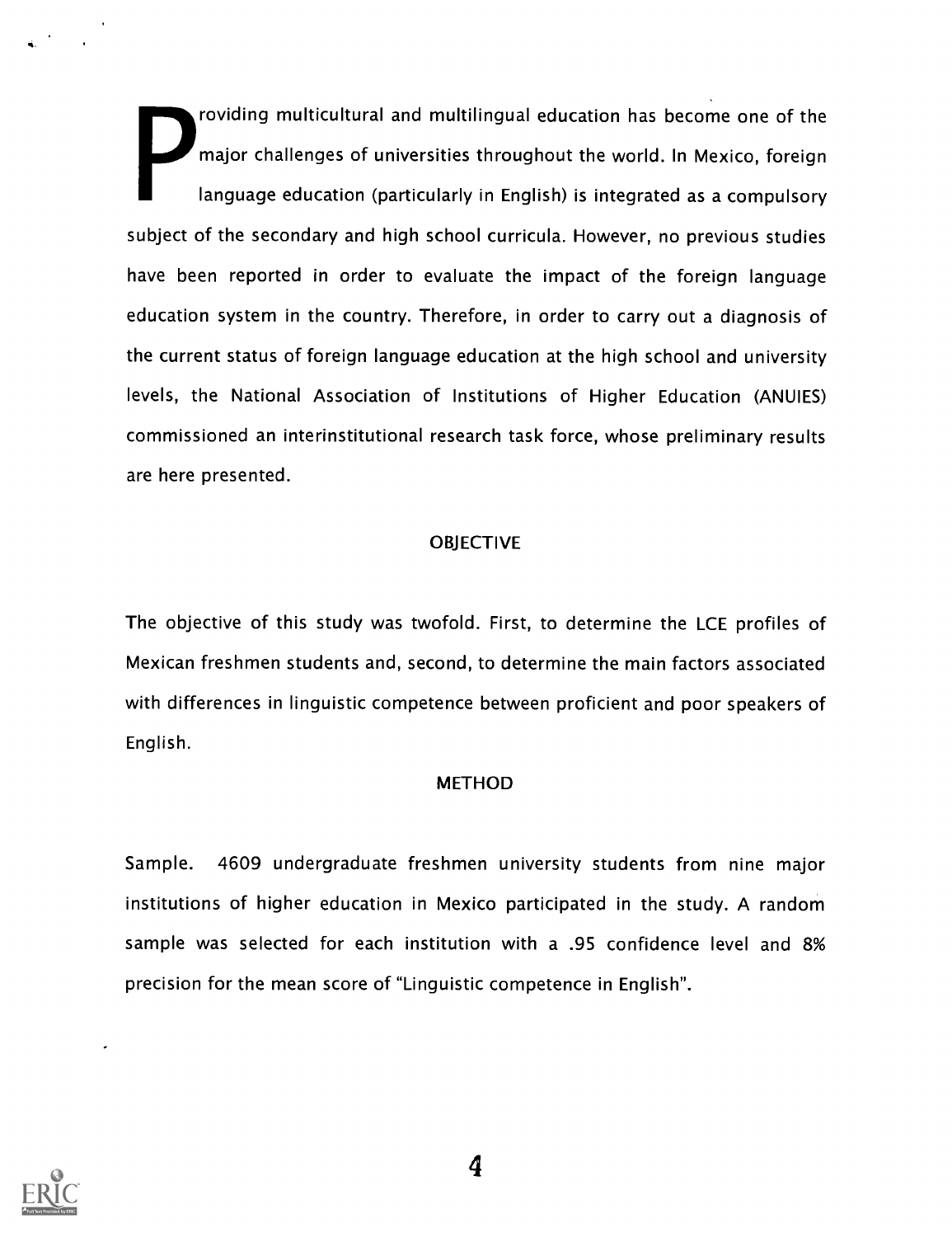providing multicultural and multilingual education has become one of the major challenges of universities throughout the world. In Mexico, foreign language education (particularly in English) is integrated as a compulsory subject of the secondary and high school curricula. However, no previous studies have been reported in order to evaluate the impact of the foreign language education system in the country. Therefore, in order to carry out a diagnosis of the current status of foreign language education at the high school and university levels, the National Association of Institutions of Higher Education (ANUIES) commissioned an interinstitutional research task force, whose preliminary results are here presented.

#### **OBJECTIVE**

The objective of this study was twofold. First, to determine the LCE profiles of Mexican freshmen students and, second, to determine the main factors associated with differences in linguistic competence between proficient and poor speakers of English.

#### METHOD

Sample. 4609 undergraduate freshmen university students from nine major institutions of higher education in Mexico participated in the study. A random sample was selected for each institution with a .95 confidence level and 8% precision for the mean score of "Linguistic competence in English".



4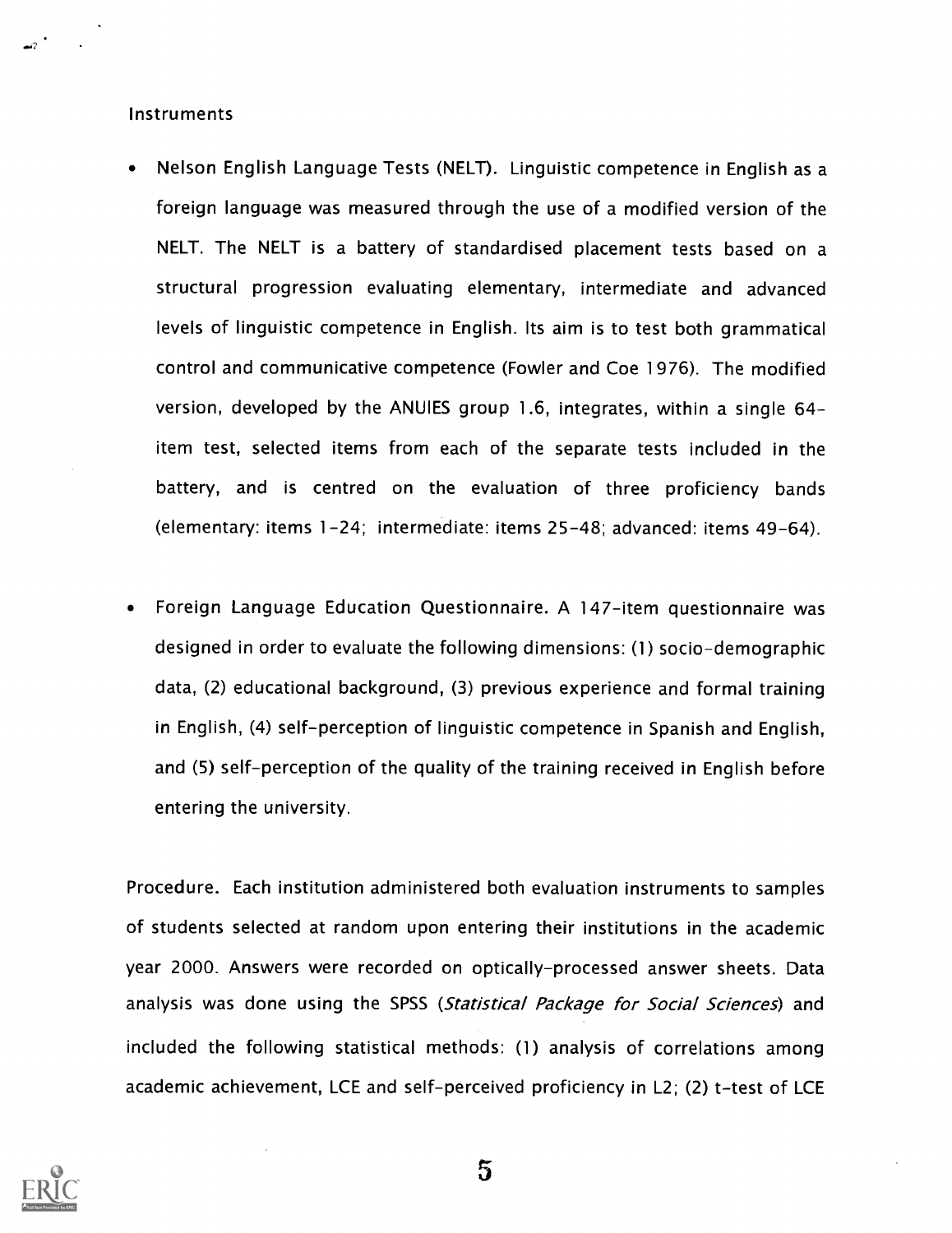#### **Instruments**

- Nelson English Language Tests (NELT). Linguistic competence in English as a foreign language was measured through the use of a modified version of the NELT. The NELT is a battery of standardised placement tests based on a structural progression evaluating elementary, intermediate and advanced levels of linguistic competence in English. Its aim is to test both grammatical control and communicative competence (Fowler and Coe 1976). The modified version, developed by the ANUIES group 1.6, integrates, within a single 64 item test, selected items from each of the separate tests included in the battery, and is centred on the evaluation of three proficiency bands (elementary: items 1-24; intermediate: items 25-48; advanced: items 49-64).
- Foreign Language Education Questionnaire. A 147-item questionnaire was designed in order to evaluate the following dimensions: (1) socio-demographic data, (2) educational background, (3) previous experience and formal training in English, (4) self-perception of linguistic competence in Spanish and English, and (5) self-perception of the quality of the training received in English before entering the university.

Procedure. Each institution administered both evaluation instruments to samples of students selected at random upon entering their institutions in the academic year 2000. Answers were recorded on optically-processed answer sheets. Data analysis was done using the SPSS (Statistical Package for Social Sciences) and included the following statistical methods: (1) analysis of correlations among academic achievement, LCE and self-perceived proficiency in L2; (2) t-test of LCE



 $\overline{5}$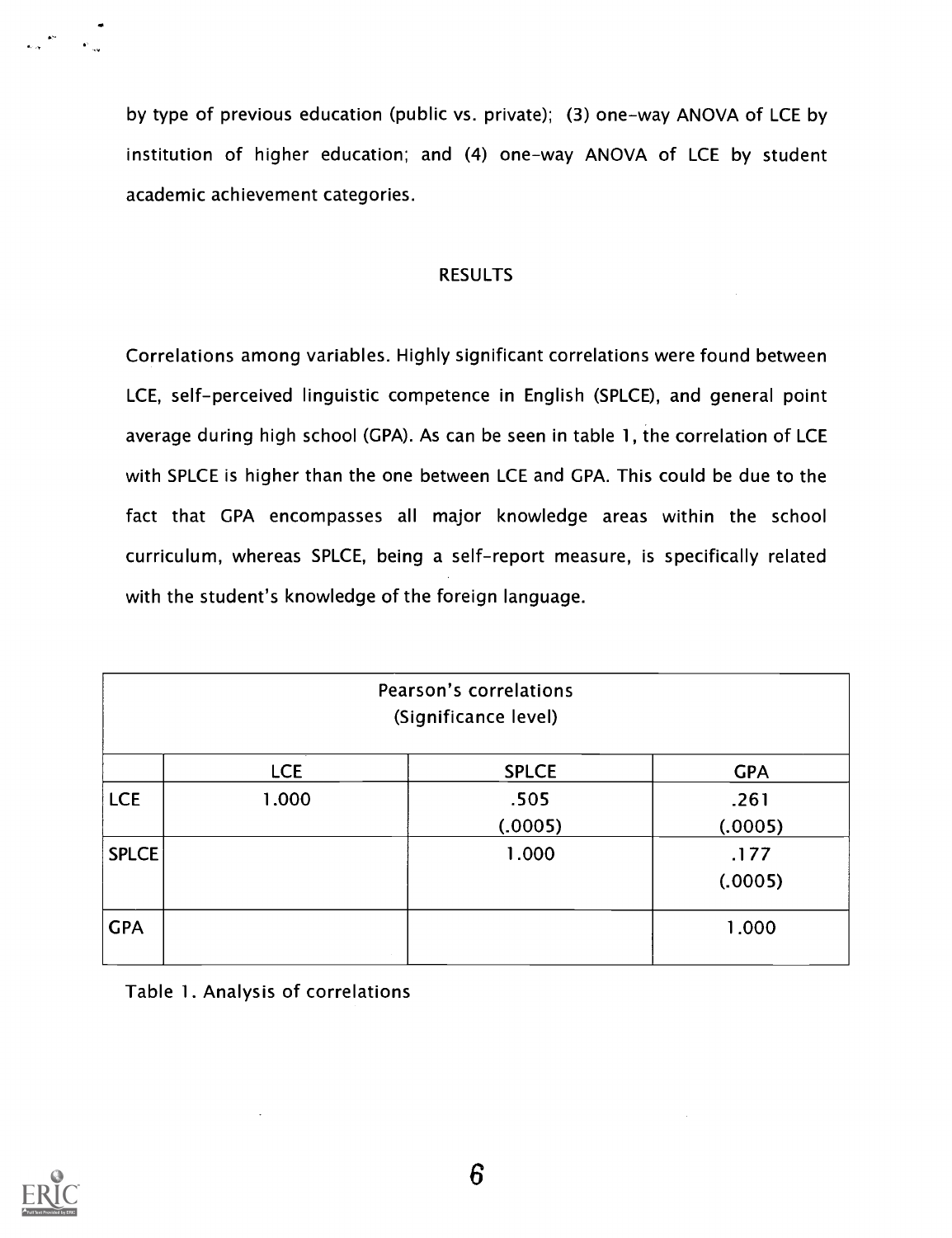by type of previous education (public vs. private); (3) one-way ANOVA of LCE by institution of higher education; and (4) one-way ANOVA of LCE by student academic achievement categories.

#### RESULTS

Correlations among variables. Highly significant correlations were found between LCE, self-perceived linguistic competence in English (SPLCE), and general point average during high school (GPA). As can be seen in table 1, the correlation of LCE with SPLCE is higher than the one between LCE and GPA. This could be due to the fact that GPA encompasses all major knowledge areas within the school curriculum, whereas SPLCE, being a self-report measure, is specifically related with the student's knowledge of the foreign language.

| Pearson's correlations<br>(Significance level) |            |              |            |  |  |  |
|------------------------------------------------|------------|--------------|------------|--|--|--|
|                                                | <b>LCE</b> | <b>SPLCE</b> | <b>GPA</b> |  |  |  |
| <b>LCE</b>                                     | 1.000      | .505         | .261       |  |  |  |
|                                                |            | (.0005)      | (.0005)    |  |  |  |
| SPLCE                                          |            | 1.000        | .177       |  |  |  |
|                                                |            |              | (.0005)    |  |  |  |
| <b>GPA</b>                                     |            |              | 1.000      |  |  |  |

Table 1. Analysis of correlations

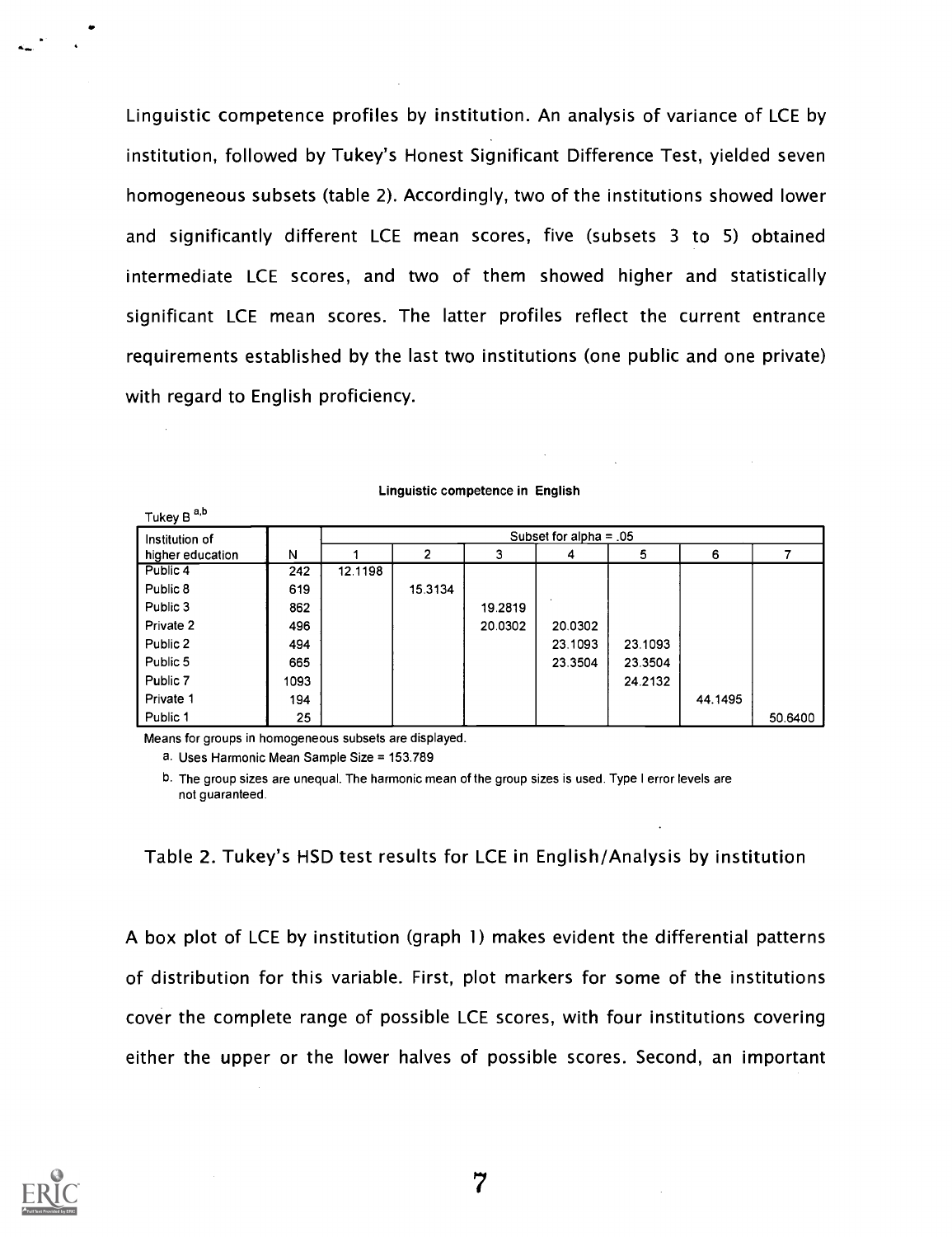Linguistic competence profiles by institution. An analysis of variance of LCE by institution, followed by Tukey's Honest Significant Difference Test, yielded seven homogeneous subsets (table 2). Accordingly, two of the institutions showed lower and significantly different LCE mean scores, five (subsets 3 to 5) obtained intermediate LCE scores, and two of them showed higher and statistically significant LCE mean scores. The latter profiles reflect the current entrance requirements established by the last two institutions (one public and one private) with regard to English proficiency.

| Institution of   |      |         |         |         | Subset for alpha = $.05$ |         |         |         |
|------------------|------|---------|---------|---------|--------------------------|---------|---------|---------|
| higher education | N    |         | າ       | 3       | 4                        | 5       | 6       | 7       |
| Public 4         | 242  | 12.1198 |         |         |                          |         |         |         |
| Public 8         | 619  |         | 15.3134 |         |                          |         |         |         |
| Public 3         | 862  |         |         | 19.2819 |                          |         |         |         |
| Private 2        | 496  |         |         | 20.0302 | 20.0302                  |         |         |         |
| Public 2         | 494  |         |         |         | 23.1093                  | 23.1093 |         |         |
| Public 5         | 665  |         |         |         | 23.3504                  | 23.3504 |         |         |
| Public 7         | 1093 |         |         |         |                          | 24.2132 |         |         |
| Private 1        | 194  |         |         |         |                          |         | 44.1495 |         |
| Public 1         | 25   |         |         |         |                          |         |         | 50.6400 |

Linguistic competence in English

Means for groups in homogeneous subsets are displayed.

a. Uses Harmonic Mean Sample Size = 153.789

b. The group sizes are unequal. The harmonic mean of the group sizes is used. Type I error levels are not guaranteed.

Table 2. Tukey's HSD test results for LCE in English/Analysis by institution

A box plot of LCE by institution (graph 1) makes evident the differential patterns of distribution for this variable. First, plot markers for some of the institutions cover the complete range of possible LCE scores, with four institutions covering either the upper or the lower halves of possible scores. Second, an important

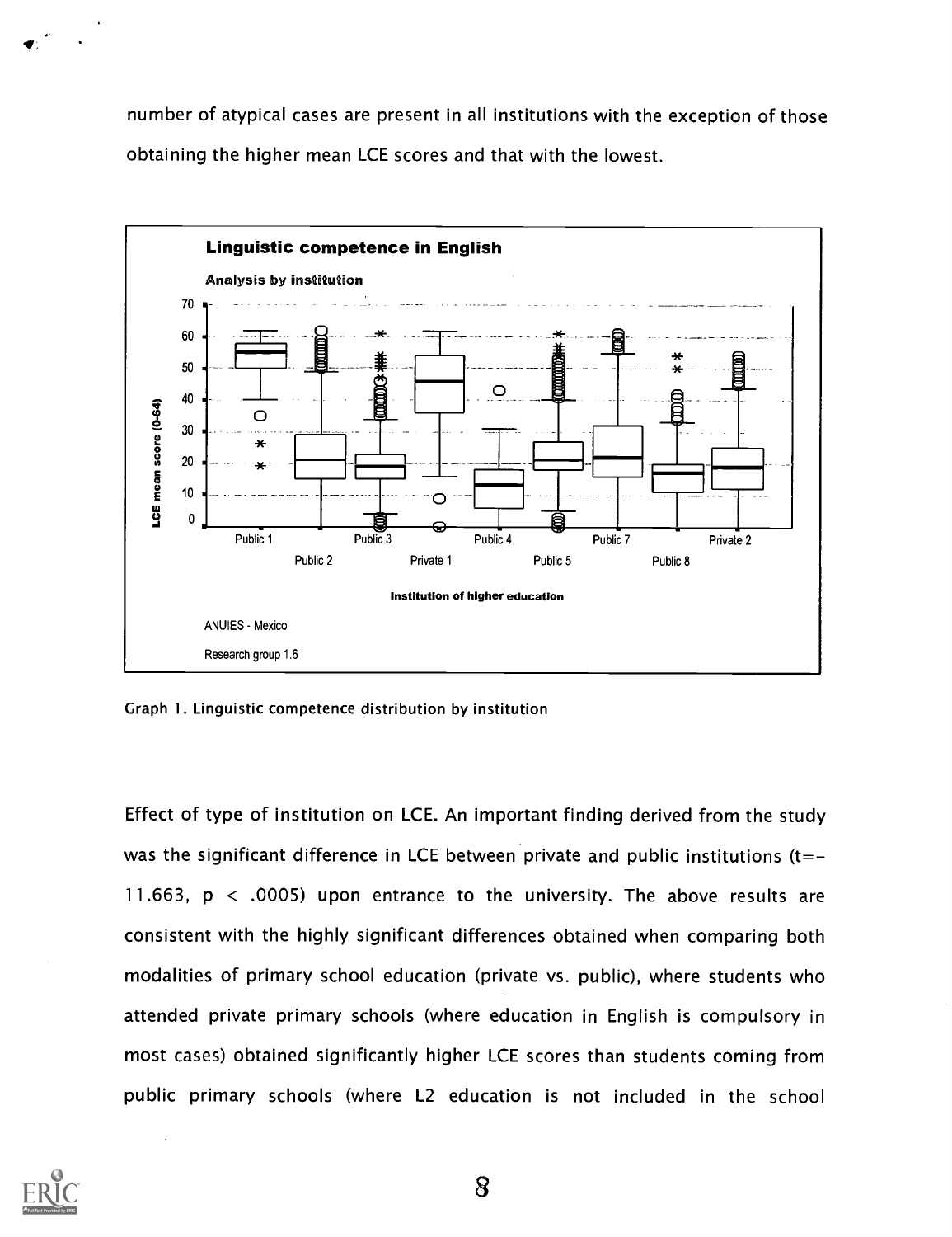number of atypical cases are present in all institutions with the exception of those obtaining the higher mean LCE scores and that with the lowest.



Graph 1. Linguistic competence distribution by institution

Effect of type of institution on LCE. An important finding derived from the study was the significant difference in LCE between private and public institutions  $(t=-$ 11.663, p < .0005) upon entrance to the university. The above results are consistent with the highly significant differences obtained when comparing both modalities of primary school education (private vs. public), where students who attended private primary schools (where education in English is compulsory in most cases) obtained significantly higher LCE scores than students coming from public primary schools (where L2 education is not included in the school

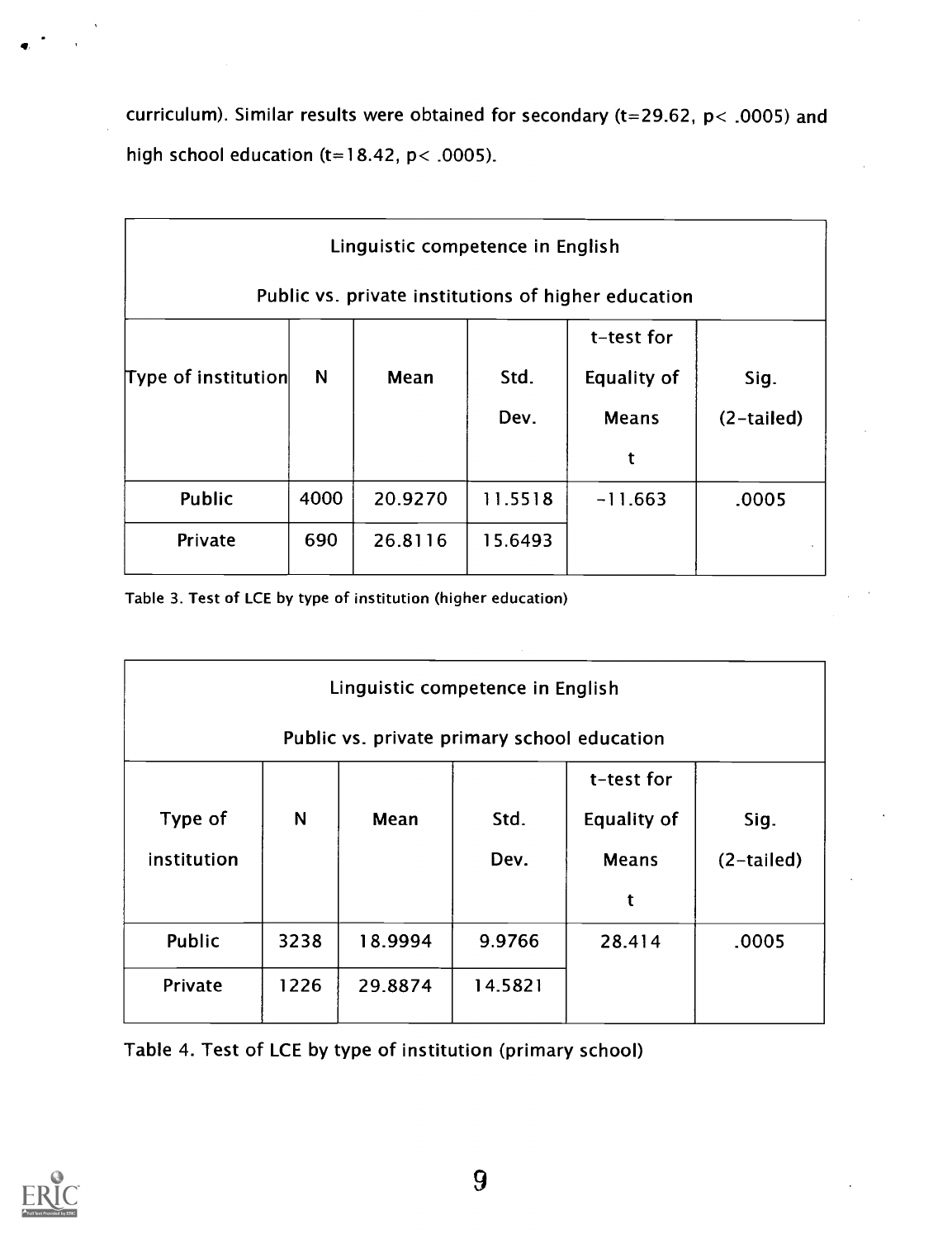curriculum). Similar results were obtained for secondary (t=29.62, p< .0005) and high school education (t=18.42,  $p$  < .0005).

|                     |      | Linguistic competence in English |         |                                                     |              |
|---------------------|------|----------------------------------|---------|-----------------------------------------------------|--------------|
|                     |      |                                  |         | Public vs. private institutions of higher education |              |
|                     |      |                                  |         | t-test for                                          |              |
| Type of institution | N    | Mean                             | Std.    | <b>Equality of</b>                                  | Sig.         |
|                     |      |                                  | Dev.    | <b>Means</b>                                        | $(2-tailed)$ |
|                     |      |                                  |         | t                                                   |              |
| Public              | 4000 | 20.9270                          | 11.5518 | $-11.663$                                           | .0005        |
| Private             | 690  | 26.8116                          | 15.6493 |                                                     |              |

Table 3. Test of LCE by type of institution (higher education)

| Linguistic competence in English |      |         |                                             |                    |              |  |
|----------------------------------|------|---------|---------------------------------------------|--------------------|--------------|--|
|                                  |      |         | Public vs. private primary school education |                    |              |  |
|                                  |      |         |                                             | t-test for         |              |  |
| Type of                          | N    | Mean    | Std.                                        | <b>Equality of</b> | Sig.         |  |
| institution                      |      |         | Dev.                                        | <b>Means</b>       | $(2-tailed)$ |  |
|                                  |      |         |                                             | t                  |              |  |
| Public                           | 3238 | 18.9994 | 9.9766                                      | 28.414             | .0005        |  |
| Private                          | 1226 | 29.8874 | 14.5821                                     |                    |              |  |
|                                  |      |         |                                             |                    |              |  |

Table 4. Test of LCE by type of institution (primary school)



 $\bullet$  . The set of  $\bullet$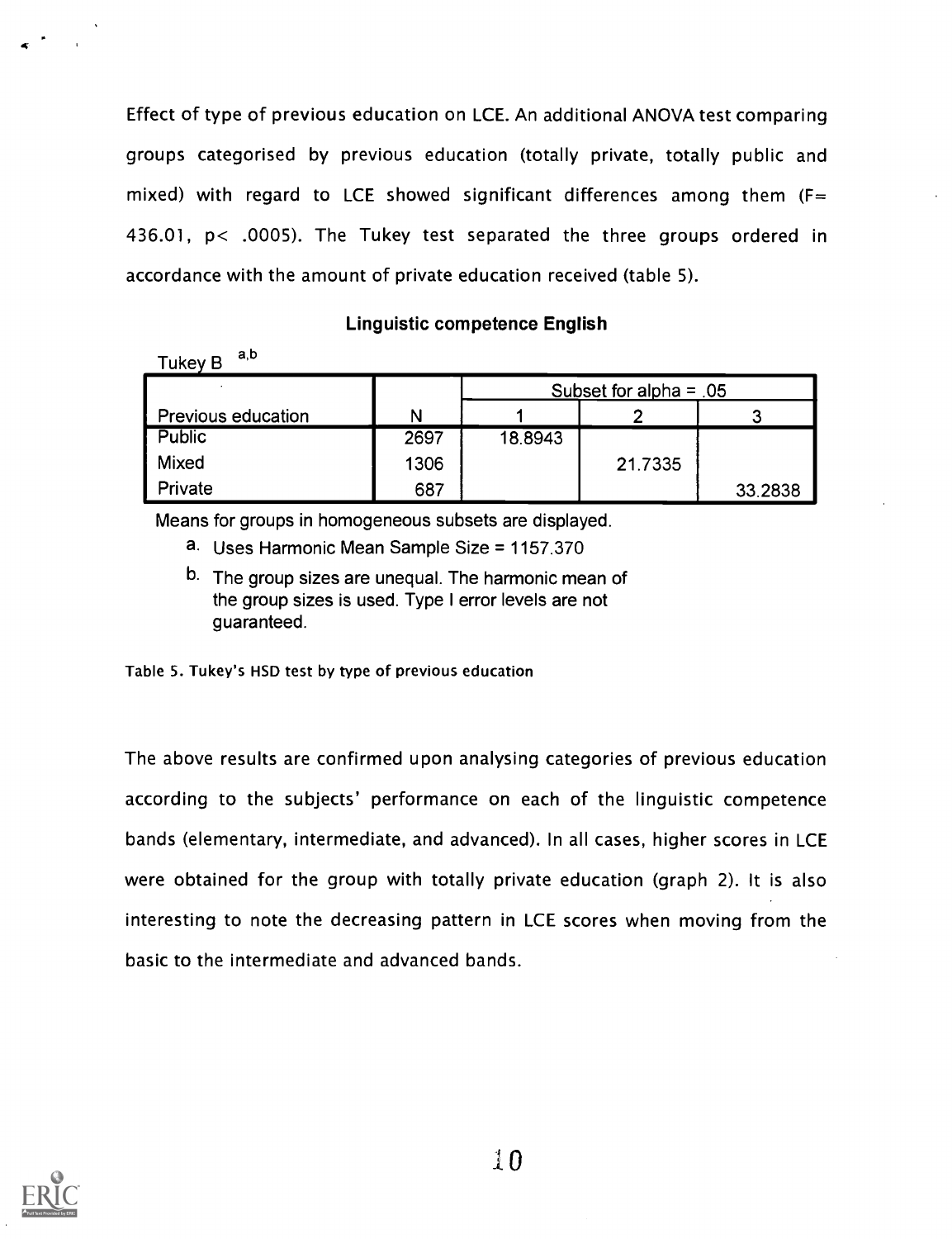Effect of type of previous education on LCE. An additional ANOVA test comparing groups categorised by previous education (totally private, totally public and mixed) with regard to LCE showed significant differences among them ( $F=$ 436.01, p< .0005). The Tukey test separated the three groups ordered in accordance with the amount of private education received (table 5).

#### Linguistic competence English

| a.o<br>Tukey B |
|----------------|
|----------------|

|                           |      |         | Subset for alpha = $.05$ |         |  |  |
|---------------------------|------|---------|--------------------------|---------|--|--|
| <b>Previous education</b> | N    |         |                          |         |  |  |
| <b>Public</b>             | 2697 | 18.8943 |                          |         |  |  |
| <b>Mixed</b>              | 1306 |         | 21.7335                  |         |  |  |
| Private                   | 687  |         |                          | 33.2838 |  |  |

Means for groups in homogeneous subsets are displayed.

- a. Uses Harmonic Mean Sample Size = 1157.370
- b. The group sizes are unequal. The harmonic mean of the group sizes is used. Type I error levels are not guaranteed.

Table 5. Tukey's HSD test by type of previous education

The above results are confirmed upon analysing categories of previous education according to the subjects' performance on each of the linguistic competence bands (elementary, intermediate, and advanced). In all cases, higher scores in LCE were obtained for the group with totally private education (graph 2). It is also interesting to note the decreasing pattern in LCE scores when moving from the basic to the intermediate and advanced bands.

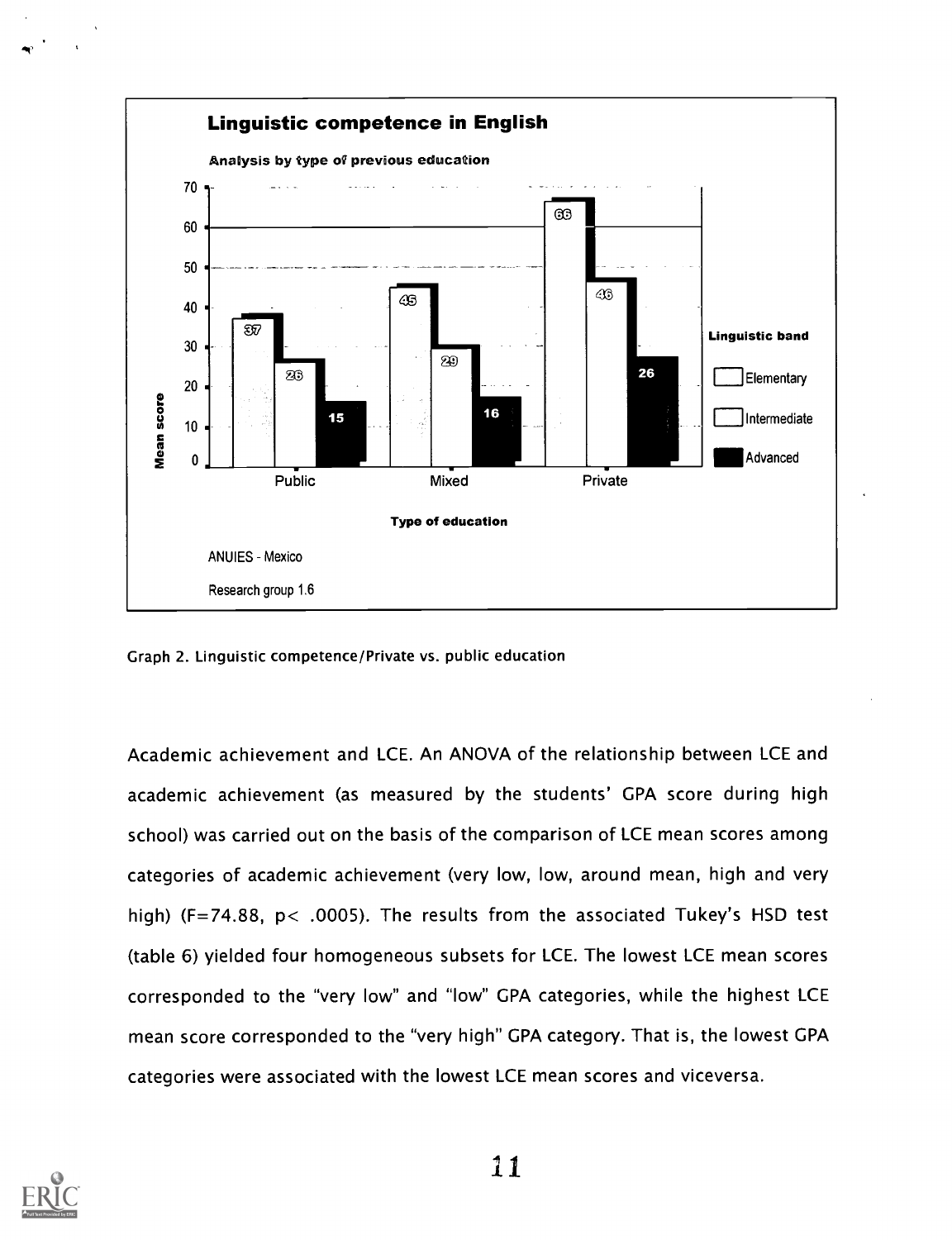

Graph 2. Linguistic competence/Private vs. public education

Academic achievement and LCE. An ANOVA of the relationship between LCE and academic achievement (as measured by the students' GPA score during high school) was carried out on the basis of the comparison of LCE mean scores among categories of academic achievement (very low, low, around mean, high and very high) (F=74.88, p< .0005). The results from the associated Tukey's HSD test (table 6) yielded four homogeneous subsets for LCE. The lowest LCE mean scores corresponded to the "very low" and "low" GPA categories, while the highest LCE mean score corresponded to the "very high" GPA category. That is, the lowest GPA categories were associated with the lowest LCE mean scores and viceversa.



11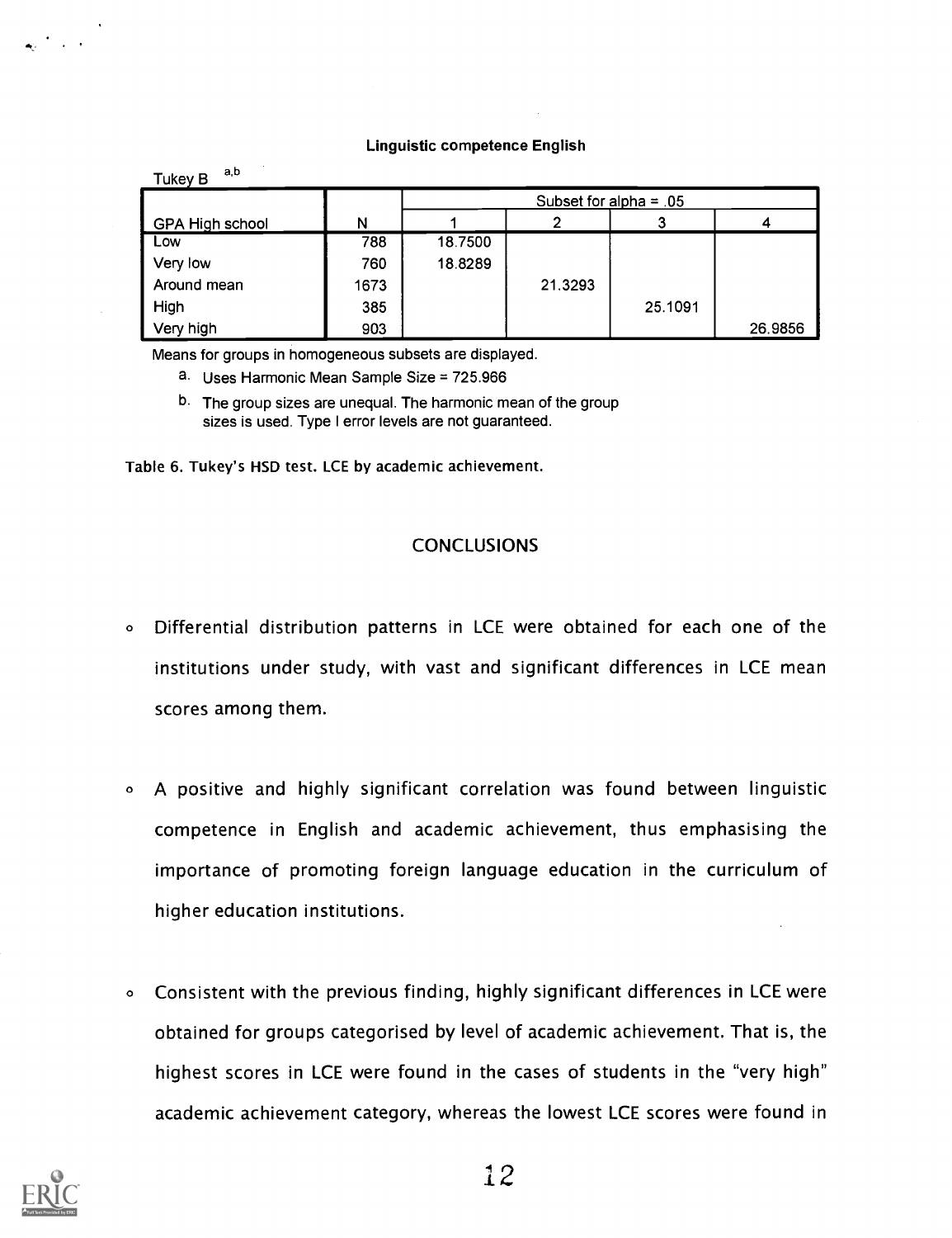#### Linguistic competence English

| a.b<br><b>Tukey B</b> |      |         |                          |         |         |  |
|-----------------------|------|---------|--------------------------|---------|---------|--|
|                       |      |         | Subset for alpha = $.05$ |         |         |  |
| GPA High school       | N    |         |                          |         |         |  |
| l Low                 | 788  | 18.7500 |                          |         |         |  |
| Very low              | 760  | 18.8289 |                          |         |         |  |
| Around mean           | 1673 |         | 21.3293                  |         |         |  |
| $\blacksquare$ High   | 385  |         |                          | 25.1091 |         |  |
| Very high             | 903  |         |                          |         | 26.9856 |  |

Means for groups in homogeneous subsets are displayed.

- a. Uses Harmonic Mean Sample Size = 725.966
- <sup>b.</sup> The group sizes are unequal. The harmonic mean of the group sizes is used. Type I error levels are not guaranteed.

Table 6. Tukey's HSD test. LCE by academic achievement.

#### CONCLUSIONS

- <sup>o</sup> Differential distribution patterns in LCE were obtained for each one of the institutions under study, with vast and significant differences in LCE mean scores among them.
- <sup>o</sup> A positive and highly significant correlation was found between linguistic competence in English and academic achievement, thus emphasising the importance of promoting foreign language education in the curriculum of higher education institutions.
- <sup>o</sup> Consistent with the previous finding, highly significant differences in LCE were obtained for groups categorised by level of academic achievement. That is, the highest scores in LCE were found in the cases of students in the "very high" academic achievement category, whereas the lowest LCE scores were found in

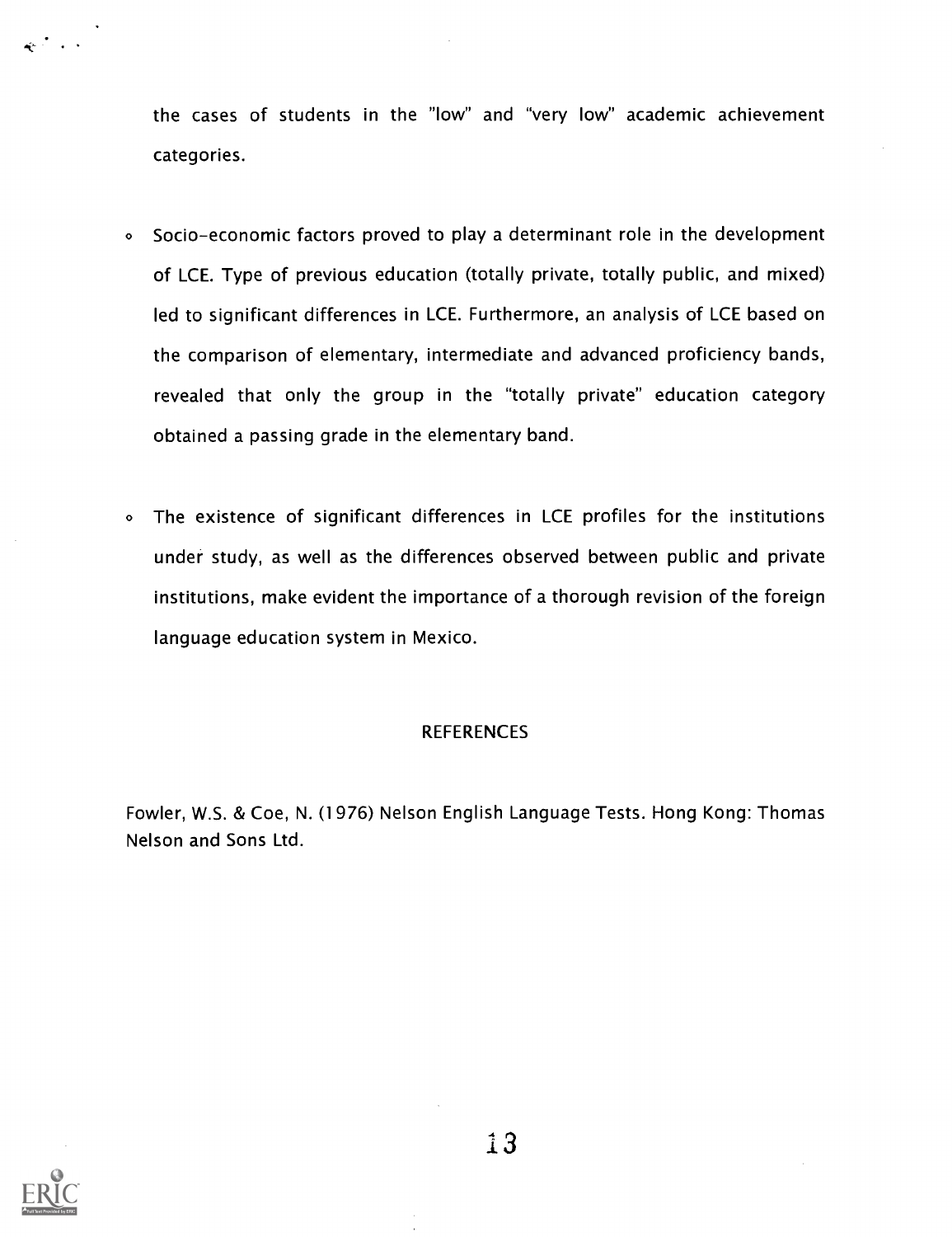the cases of students in the "low" and "very low" academic achievement categories.

- <sup>o</sup> Socio-economic factors proved to play a determinant role in the development of LCE. Type of previous education (totally private, totally public, and mixed) led to significant differences in LCE. Furthermore, an analysis of LCE based on the comparison of elementary, intermediate and advanced proficiency bands, revealed that only the group in the "totally private" education category obtained a passing grade in the elementary band.
- <sup>o</sup> The existence of significant differences in LCE profiles for the institutions under study, as well as the differences observed between public and private institutions, make evident the importance of a thorough revision of the foreign language education system in Mexico.

### **REFERENCES**

Fowler, W.S. & Coe, N. (1976) Nelson English Language Tests. Hong Kong: Thomas Nelson and Sons Ltd.



13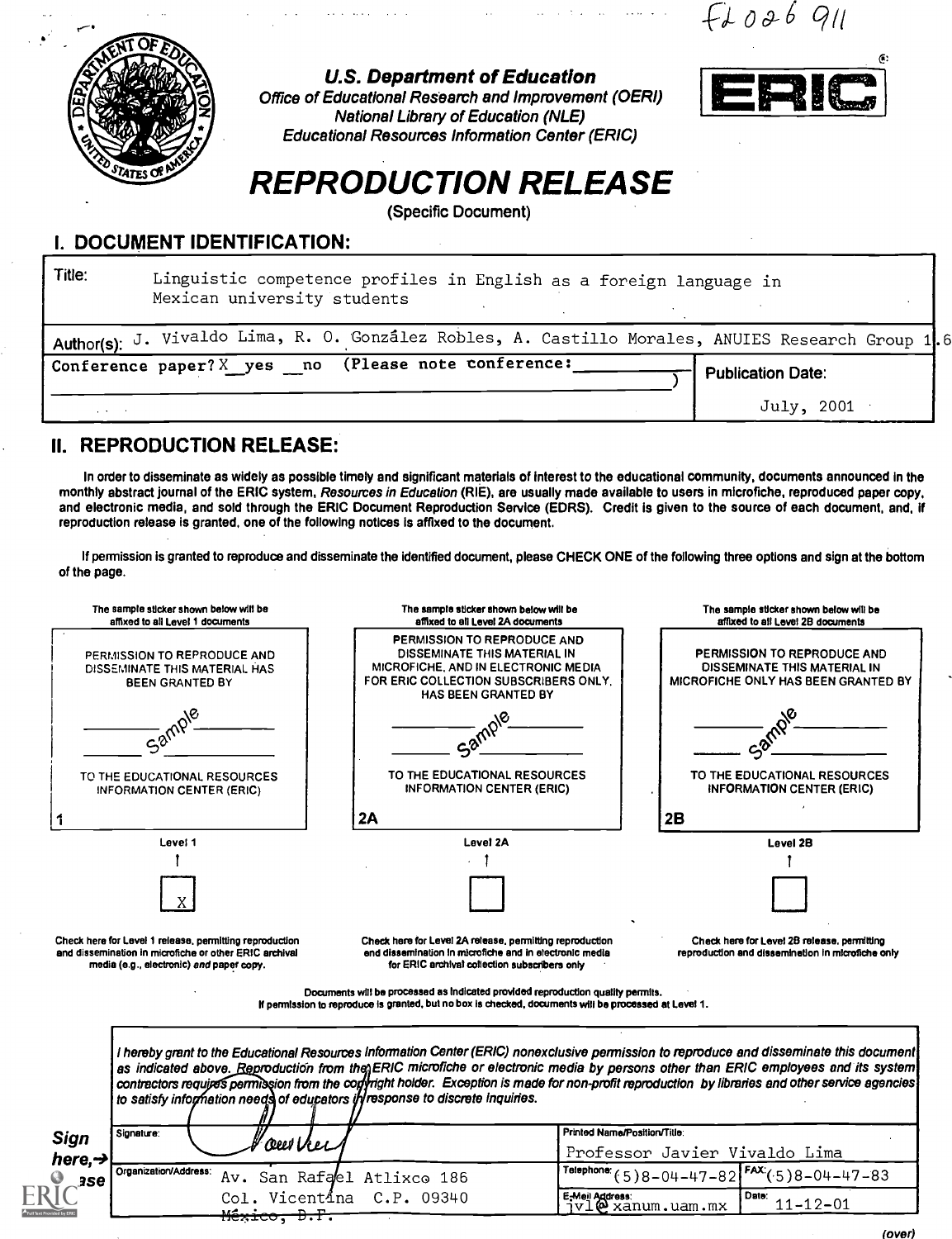$F1026$  911



U.S. Department of Education

Office of Educational Research and Improvement (OERI) National Library of Education (NLE) Educational Resources Information Center (ERIC)



# REPRODUCTION RELEASE

(Specific Document)

#### I. DOCUMENT IDENTIFICATION:

| Title:          | Linguistic competence profiles in English as a foreign language in<br>Mexican university students |  |  |  |  |  |  |
|-----------------|---------------------------------------------------------------------------------------------------|--|--|--|--|--|--|
|                 | Author(s): J. Vivaldo Lima, R. O. González Robles, A. Castillo Morales, ANUIES Research Group 1.6 |  |  |  |  |  |  |
|                 | Conference paper? X yes no (Please note conference:<br><b>Publication Date:</b>                   |  |  |  |  |  |  |
| and the control | July, 2001                                                                                        |  |  |  |  |  |  |

## II. REPRODUCTION RELEASE:

<del>México,</del>

<del>D.F</del>

In order to disseminate as widely as possible timely and significant materials of interest to the educational community, documents announced in the monthly abstract journal of the ERIC system, Resources in Education (RIE), are usually made available to users in microfiche, reproduced paper copy, and electronic media, and sold through the ERIC Document Reproduction Service (EDRS). Credit is given to the source of each document, and, if reproduction release is granted, one of the following notices is affixed to the document.

If permission is granted to reproduce and disseminate the identified document, please CHECK ONE of the following three options and sign at the bottom of the page.